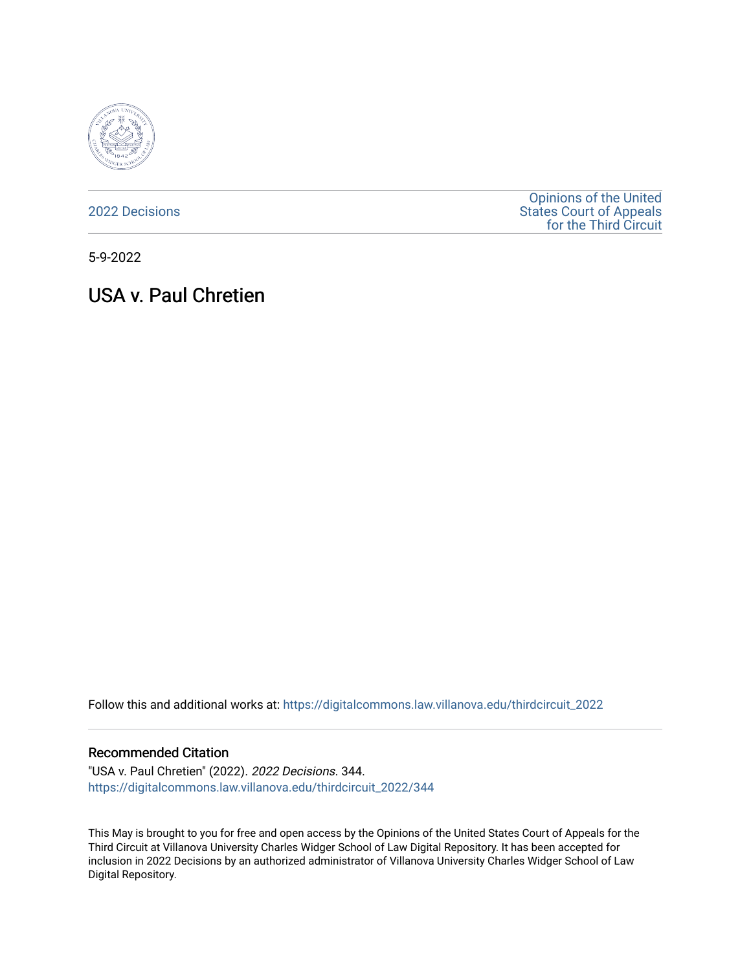

[2022 Decisions](https://digitalcommons.law.villanova.edu/thirdcircuit_2022)

[Opinions of the United](https://digitalcommons.law.villanova.edu/thirdcircuit)  [States Court of Appeals](https://digitalcommons.law.villanova.edu/thirdcircuit)  [for the Third Circuit](https://digitalcommons.law.villanova.edu/thirdcircuit) 

5-9-2022

# USA v. Paul Chretien

Follow this and additional works at: [https://digitalcommons.law.villanova.edu/thirdcircuit\\_2022](https://digitalcommons.law.villanova.edu/thirdcircuit_2022?utm_source=digitalcommons.law.villanova.edu%2Fthirdcircuit_2022%2F344&utm_medium=PDF&utm_campaign=PDFCoverPages) 

#### Recommended Citation

"USA v. Paul Chretien" (2022). 2022 Decisions. 344. [https://digitalcommons.law.villanova.edu/thirdcircuit\\_2022/344](https://digitalcommons.law.villanova.edu/thirdcircuit_2022/344?utm_source=digitalcommons.law.villanova.edu%2Fthirdcircuit_2022%2F344&utm_medium=PDF&utm_campaign=PDFCoverPages)

This May is brought to you for free and open access by the Opinions of the United States Court of Appeals for the Third Circuit at Villanova University Charles Widger School of Law Digital Repository. It has been accepted for inclusion in 2022 Decisions by an authorized administrator of Villanova University Charles Widger School of Law Digital Repository.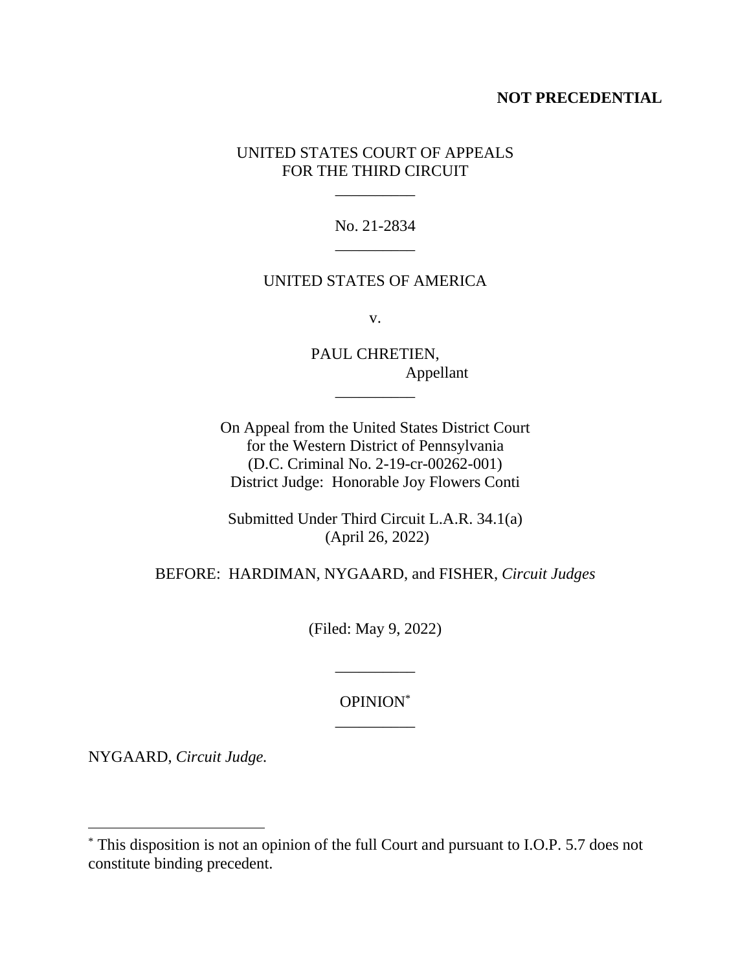### **NOT PRECEDENTIAL**

## UNITED STATES COURT OF APPEALS FOR THE THIRD CIRCUIT

\_\_\_\_\_\_\_\_\_\_

No. 21-2834 \_\_\_\_\_\_\_\_\_\_

#### UNITED STATES OF AMERICA

v.

PAUL CHRETIEN, Appellant \_\_\_\_\_\_\_\_\_\_

On Appeal from the United States District Court for the Western District of Pennsylvania (D.C. Criminal No. 2-19-cr-00262-001) District Judge: Honorable Joy Flowers Conti

Submitted Under Third Circuit L.A.R. 34.1(a) (April 26, 2022)

BEFORE: HARDIMAN, NYGAARD, and FISHER, *Circuit Judges*

(Filed: May 9, 2022)

OPINION\* \_\_\_\_\_\_\_\_\_\_

\_\_\_\_\_\_\_\_\_\_

NYGAARD, *Circuit Judge.*

<sup>\*</sup> This disposition is not an opinion of the full Court and pursuant to I.O.P. 5.7 does not constitute binding precedent.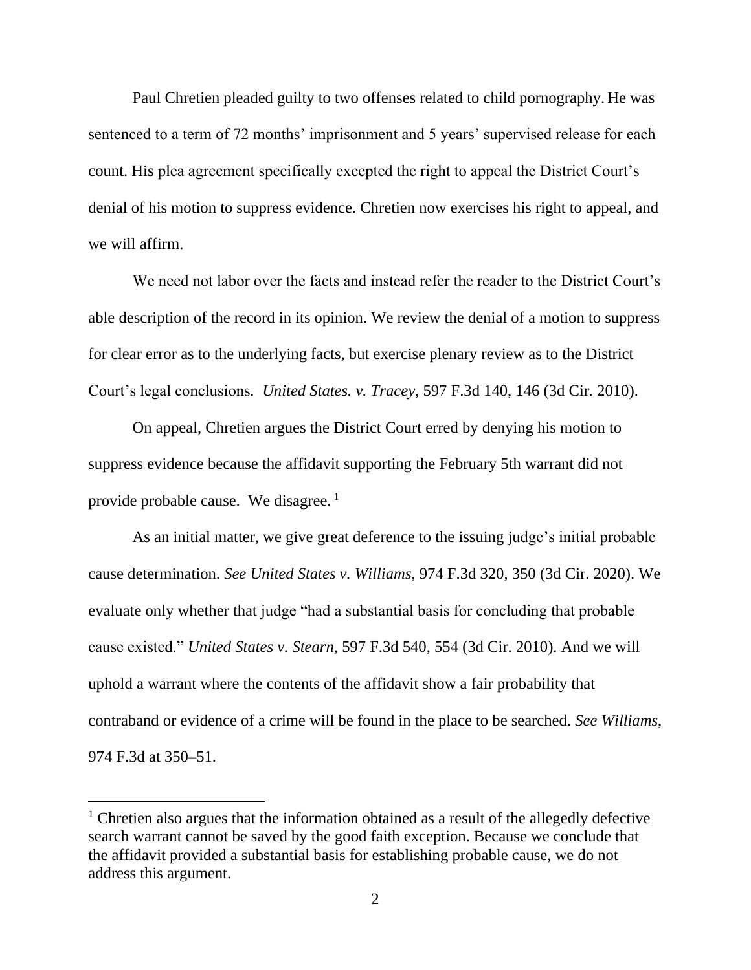Paul Chretien pleaded guilty to two offenses related to child pornography. He was sentenced to a term of 72 months' imprisonment and 5 years' supervised release for each count. His plea agreement specifically excepted the right to appeal the District Court's denial of his motion to suppress evidence. Chretien now exercises his right to appeal, and we will affirm.

We need not labor over the facts and instead refer the reader to the District Court's able description of the record in its opinion. We review the denial of a motion to suppress for clear error as to the underlying facts, but exercise plenary review as to the District Court's legal conclusions*. United States. v. Tracey*, 597 F.3d 140, 146 (3d Cir. 2010).

On appeal, Chretien argues the District Court erred by denying his motion to suppress evidence because the affidavit supporting the February 5th warrant did not provide probable cause. We disagree. 1

As an initial matter, we give great deference to the issuing judge's initial probable cause determination. *See United States v. Williams*, 974 F.3d 320, 350 (3d Cir. 2020). We evaluate only whether that judge "had a substantial basis for concluding that probable cause existed." *United States v. Stearn*, 597 F.3d 540, 554 (3d Cir. 2010). And we will uphold a warrant where the contents of the affidavit show a fair probability that contraband or evidence of a crime will be found in the place to be searched. *See Williams*, 974 F.3d at 350–51.

 $<sup>1</sup>$  Chretien also argues that the information obtained as a result of the allegedly defective</sup> search warrant cannot be saved by the good faith exception. Because we conclude that the affidavit provided a substantial basis for establishing probable cause, we do not address this argument.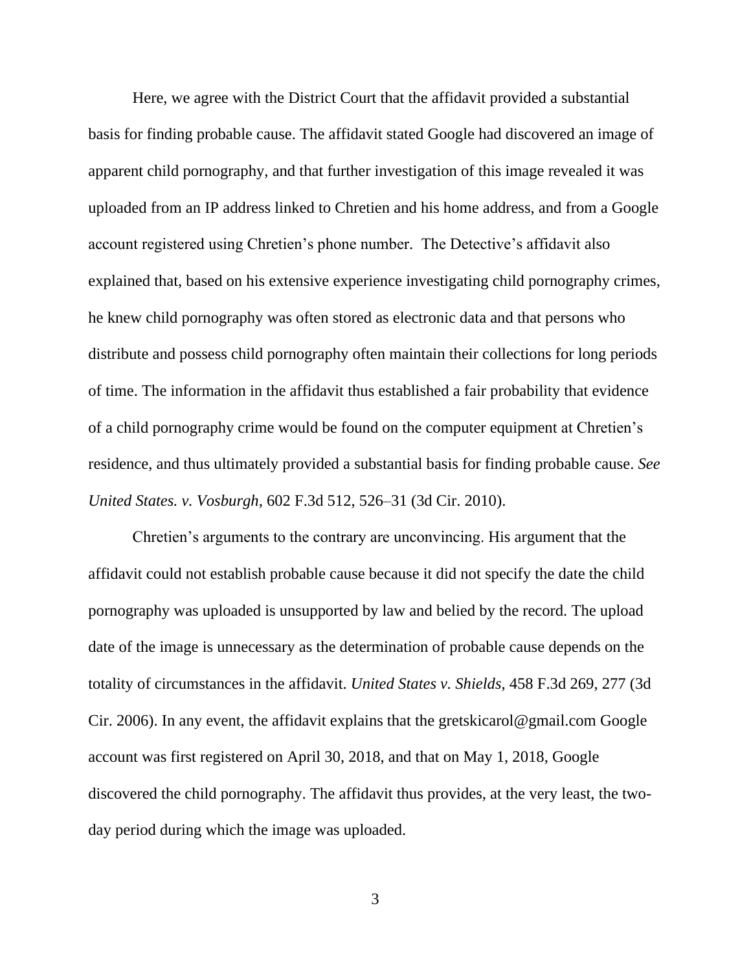Here, we agree with the District Court that the affidavit provided a substantial basis for finding probable cause. The affidavit stated Google had discovered an image of apparent child pornography, and that further investigation of this image revealed it was uploaded from an IP address linked to Chretien and his home address, and from a Google account registered using Chretien's phone number. The Detective's affidavit also explained that, based on his extensive experience investigating child pornography crimes, he knew child pornography was often stored as electronic data and that persons who distribute and possess child pornography often maintain their collections for long periods of time. The information in the affidavit thus established a fair probability that evidence of a child pornography crime would be found on the computer equipment at Chretien's residence, and thus ultimately provided a substantial basis for finding probable cause. *See United States. v. Vosburgh*, 602 F.3d 512, 526–31 (3d Cir. 2010).

Chretien's arguments to the contrary are unconvincing. His argument that the affidavit could not establish probable cause because it did not specify the date the child pornography was uploaded is unsupported by law and belied by the record. The upload date of the image is unnecessary as the determination of probable cause depends on the totality of circumstances in the affidavit. *United States v. Shields*, 458 F.3d 269, 277 (3d Cir. 2006). In any event, the affidavit explains that the gretskicarol@gmail.com Google account was first registered on April 30, 2018, and that on May 1, 2018, Google discovered the child pornography. The affidavit thus provides, at the very least, the twoday period during which the image was uploaded.

3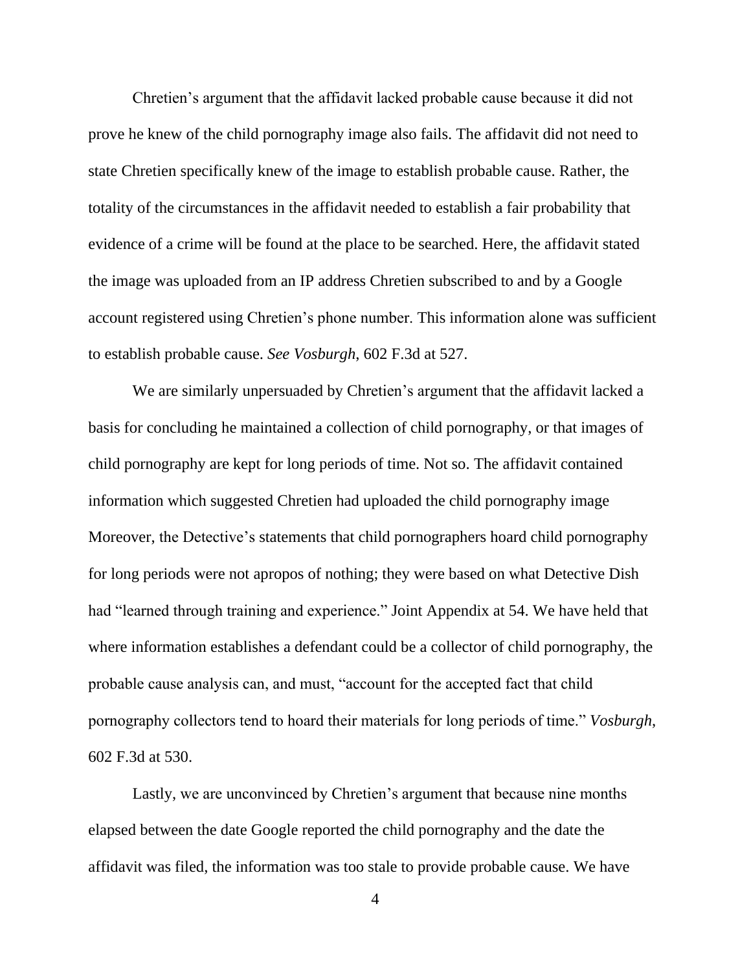Chretien's argument that the affidavit lacked probable cause because it did not prove he knew of the child pornography image also fails. The affidavit did not need to state Chretien specifically knew of the image to establish probable cause. Rather, the totality of the circumstances in the affidavit needed to establish a fair probability that evidence of a crime will be found at the place to be searched. Here, the affidavit stated the image was uploaded from an IP address Chretien subscribed to and by a Google account registered using Chretien's phone number. This information alone was sufficient to establish probable cause. *See Vosburgh*, 602 F.3d at 527.

We are similarly unpersuaded by Chretien's argument that the affidavit lacked a basis for concluding he maintained a collection of child pornography, or that images of child pornography are kept for long periods of time. Not so. The affidavit contained information which suggested Chretien had uploaded the child pornography image Moreover, the Detective's statements that child pornographers hoard child pornography for long periods were not apropos of nothing; they were based on what Detective Dish had "learned through training and experience." Joint Appendix at 54. We have held that where information establishes a defendant could be a collector of child pornography, the probable cause analysis can, and must, "account for the accepted fact that child pornography collectors tend to hoard their materials for long periods of time." *Vosburgh*, 602 F.3d at 530.

Lastly, we are unconvinced by Chretien's argument that because nine months elapsed between the date Google reported the child pornography and the date the affidavit was filed, the information was too stale to provide probable cause. We have

4